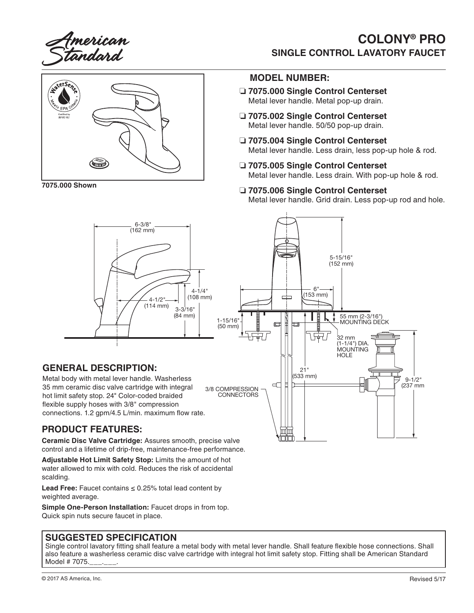American<br>:tandard

## **COLONY® PRO SINGLE CONTROL LAVATORY FAUCET**



**7075.000 Shown**

#### **MODEL NUMBER:**

- ❏ **7075.000 Single Control Centerset** Metal lever handle. Metal pop-up drain.
- ❏ **7075.002 Single Control Centerset** Metal lever handle. 50/50 pop-up drain.
- ❏ **7075.004 Single Control Centerset** Metal lever handle. Less drain, less pop-up hole & rod.
- ❏ **7075.005 Single Control Centerset** Metal lever handle. Less drain. With pop-up hole & rod.
- ❏ **7075.006 Single Control Centerset** Metal lever handle. Grid drain. Less pop-up rod and hole.



mn

**Ceramic Disc Valve Cartridge:** Assures smooth, precise valve control and a lifetime of drip-free, maintenance-free performance.

**Adjustable Hot Limit Safety Stop:** Limits the amount of hot water allowed to mix with cold. Reduces the risk of accidental scalding.

**Lead Free:** Faucet contains  $\leq 0.25\%$  total lead content by weighted average.

**Simple One-Person Installation:** Faucet drops in from top. Quick spin nuts secure faucet in place.

#### **SUGGESTED SPECIFICATION**

Single control lavatory fitting shall feature a metal body with metal lever handle. Shall feature flexible hose connections. Shall also feature a washerless ceramic disc valve cartridge with integral hot limit safety stop. Fitting shall be American Standard Model # 7075.